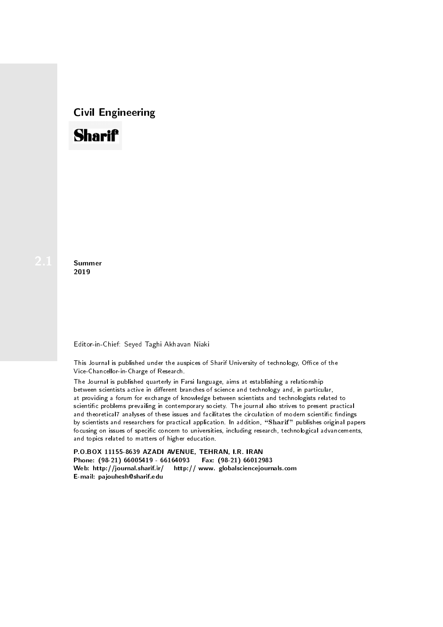# Civil Engineering



**Summer** 2019

#### Editor-in-Chief: Seyed Taghi Akhavan Niaki

This Journal is published under the auspices of Sharif University of technology, Office of the Vice-Chancellor-in-Charge of Research.

The Journal is published quarterly in Farsi language, aims at establishing a relationship between scientists active in different branches of science and technology and, in particular, at providing a forum for exchange of knowledge between scientists and technologists related to scientic problems prevailing in contemporary society. The journal also strives to present practical and theoretical7 analyses of these issues and facilitates the circulation of modern scientific findings by scientists and researchers for practical application. In addition, "Sharif" publishes original papers focusing on issues of specific concern to universities, including research, technological advancements, and topics related to matters of higher education.

P.O.BOX 11155-8639 AZADI AVENUE, TEHRAN, I.R. IRAN Phone: (98-21) 66005419 - 66164093 Fax: (98-21) 66012983 Web: http://journal.sharif.ir/ http:// www. globalsciencejournals.com E-mail: pajouhesh@sharif.edu